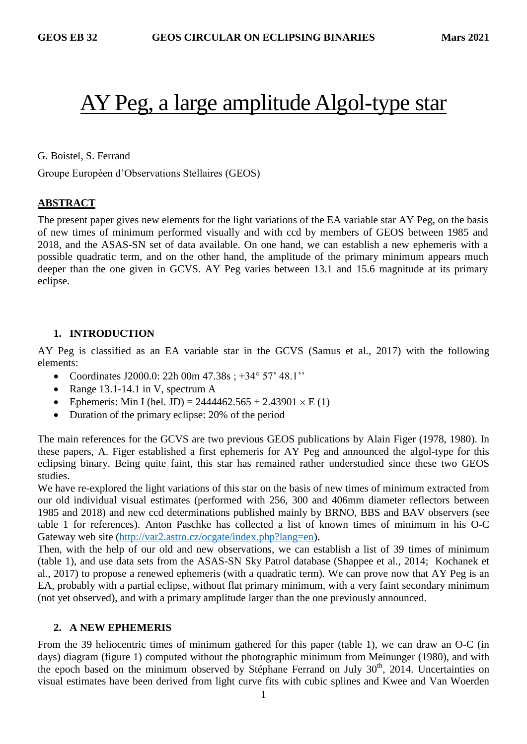# AY Peg, a large amplitude Algol-type star

G. Boistel, S. Ferrand

Groupe Européen d'Observations Stellaires (GEOS)

# **ABSTRACT**

The present paper gives new elements for the light variations of the EA variable star AY Peg, on the basis of new times of minimum performed visually and with ccd by members of GEOS between 1985 and 2018, and the ASAS-SN set of data available. On one hand, we can establish a new ephemeris with a possible quadratic term, and on the other hand, the amplitude of the primary minimum appears much deeper than the one given in GCVS. AY Peg varies between 13.1 and 15.6 magnitude at its primary eclipse.

# **1. INTRODUCTION**

AY Peg is classified as an EA variable star in the GCVS (Samus et al., 2017) with the following elements:

- Coordinates J2000.0: 22h 00m 47.38s ; +34° 57' 48.1''
- Range  $13.1-14.1$  in V, spectrum A
- Ephemeris: Min I (hel. JD) =  $2444462.565 + 2.43901 \times E(1)$
- Duration of the primary eclipse: 20% of the period

The main references for the GCVS are two previous GEOS publications by Alain Figer (1978, 1980). In these papers, A. Figer established a first ephemeris for AY Peg and announced the algol-type for this eclipsing binary. Being quite faint, this star has remained rather understudied since these two GEOS studies.

We have re-explored the light variations of this star on the basis of new times of minimum extracted from our old individual visual estimates (performed with 256, 300 and 406mm diameter reflectors between 1985 and 2018) and new ccd determinations published mainly by BRNO, BBS and BAV observers (see table 1 for references). Anton Paschke has collected a list of known times of minimum in his O-C Gateway web site [\(http://var2.astro.cz/ocgate/index.php?lang=en\)](http://var2.astro.cz/ocgate/index.php?lang=en).

Then, with the help of our old and new observations, we can establish a list of 39 times of minimum (table 1), and use data sets from the ASAS-SN Sky Patrol database (Shappee et al., 2014; Kochanek et al., 2017) to propose a renewed ephemeris (with a quadratic term). We can prove now that AY Peg is an EA, probably with a partial eclipse, without flat primary minimum, with a very faint secondary minimum (not yet observed), and with a primary amplitude larger than the one previously announced.

# **2. A NEW EPHEMERIS**

From the 39 heliocentric times of minimum gathered for this paper (table 1), we can draw an O-C (in days) diagram (figure 1) computed without the photographic minimum from Meinunger (1980), and with the epoch based on the minimum observed by Stéphane Ferrand on July 30<sup>th</sup>, 2014. Uncertainties on visual estimates have been derived from light curve fits with cubic splines and Kwee and Van Woerden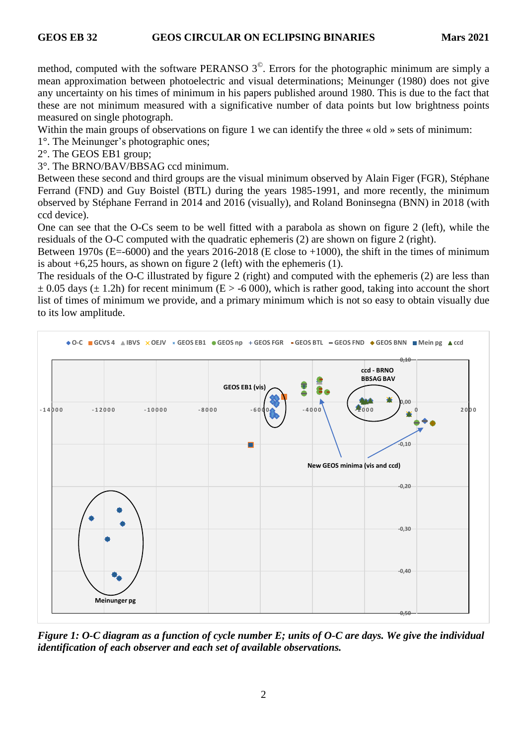method, computed with the software PERANSO  $3^\circ$ . Errors for the photographic minimum are simply a mean approximation between photoelectric and visual determinations; Meinunger (1980) does not give any uncertainty on his times of minimum in his papers published around 1980. This is due to the fact that these are not minimum measured with a significative number of data points but low brightness points measured on single photograph.

Within the main groups of observations on figure 1 we can identify the three « old » sets of minimum:

1°. The Meinunger's photographic ones;

2°. The GEOS EB1 group;

3°. The BRNO/BAV/BBSAG ccd minimum.

Between these second and third groups are the visual minimum observed by Alain Figer (FGR), Stéphane Ferrand (FND) and Guy Boistel (BTL) during the years 1985-1991, and more recently, the minimum observed by Stéphane Ferrand in 2014 and 2016 (visually), and Roland Boninsegna (BNN) in 2018 (with ccd device).

One can see that the O-Cs seem to be well fitted with a parabola as shown on figure 2 (left), while the residuals of the O-C computed with the quadratic ephemeris (2) are shown on figure 2 (right).

Between 1970s ( $E = -6000$ ) and the years 2016-2018 (E close to  $+1000$ ), the shift in the times of minimum is about +6,25 hours, as shown on figure 2 (left) with the ephemeris (1).

The residuals of the O-C illustrated by figure 2 (right) and computed with the ephemeris (2) are less than  $\pm$  0.05 days ( $\pm$  1.2h) for recent minimum (E > -6 000), which is rather good, taking into account the short list of times of minimum we provide, and a primary minimum which is not so easy to obtain visually due to its low amplitude.



*Figure 1: O-C diagram as a function of cycle number E; units of O-C are days. We give the individual identification of each observer and each set of available observations.*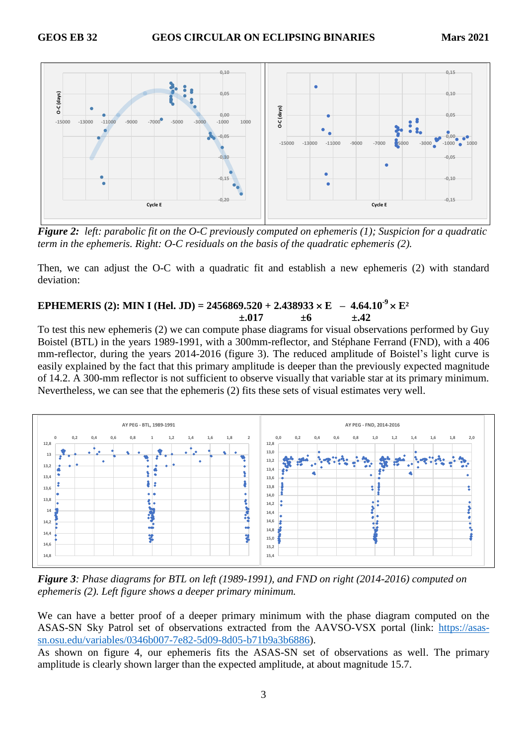

*Figure 2: left: parabolic fit on the O-C previously computed on ephemeris (1); Suspicion for a quadratic term in the ephemeris. Right: O-C residuals on the basis of the quadratic ephemeris (2).*

Then, we can adjust the O-C with a quadratic fit and establish a new ephemeris (2) with standard deviation:

# **EPHEMERIS** (2): MIN I (Hel. JD) = 2456869.520 + 2.438933  $\times$  E  $-4.64.10^{-9} \times E^2$  $\pm .017 +6 +.42$

To test this new ephemeris (2) we can compute phase diagrams for visual observations performed by Guy Boistel (BTL) in the years 1989-1991, with a 300mm-reflector, and Stéphane Ferrand (FND), with a 406 mm-reflector, during the years 2014-2016 (figure 3). The reduced amplitude of Boistel's light curve is easily explained by the fact that this primary amplitude is deeper than the previously expected magnitude of 14.2. A 300-mm reflector is not sufficient to observe visually that variable star at its primary minimum. Nevertheless, we can see that the ephemeris (2) fits these sets of visual estimates very well.



*Figure 3: Phase diagrams for BTL on left (1989-1991), and FND on right (2014-2016) computed on ephemeris (2). Left figure shows a deeper primary minimum.*

We can have a better proof of a deeper primary minimum with the phase diagram computed on the ASAS-SN Sky Patrol set of observations extracted from the AAVSO-VSX portal (link: [https://asas](https://asas-sn.osu.edu/variables/0346b007-7e82-5d09-8d05-b71b9a3b6886)[sn.osu.edu/variables/0346b007-7e82-5d09-8d05-b71b9a3b6886\)](https://asas-sn.osu.edu/variables/0346b007-7e82-5d09-8d05-b71b9a3b6886).

As shown on figure 4, our ephemeris fits the ASAS-SN set of observations as well. The primary amplitude is clearly shown larger than the expected amplitude, at about magnitude 15.7.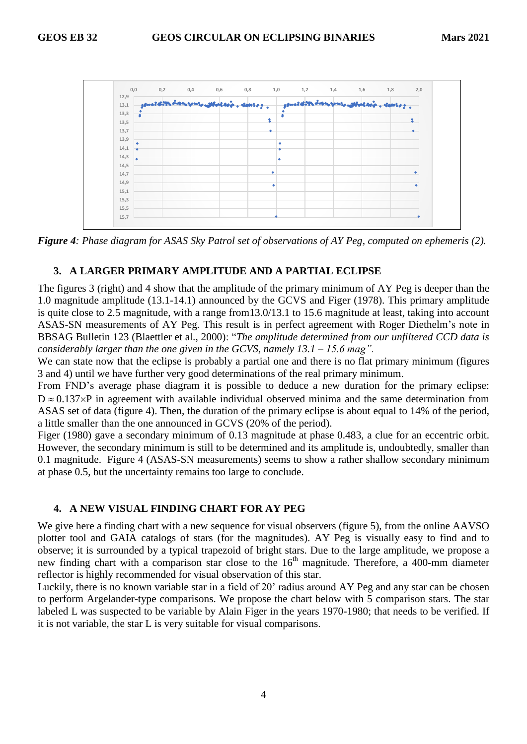

*Figure 4: Phase diagram for ASAS Sky Patrol set of observations of AY Peg, computed on ephemeris (2).*

#### **3. A LARGER PRIMARY AMPLITUDE AND A PARTIAL ECLIPSE**

The figures 3 (right) and 4 show that the amplitude of the primary minimum of AY Peg is deeper than the 1.0 magnitude amplitude (13.1-14.1) announced by the GCVS and Figer (1978). This primary amplitude is quite close to 2.5 magnitude, with a range from13.0/13.1 to 15.6 magnitude at least, taking into account ASAS-SN measurements of AY Peg. This result is in perfect agreement with Roger Diethelm's note in BBSAG Bulletin 123 (Blaettler et al., 2000): "*The amplitude determined from our unfiltered CCD data is considerably larger than the one given in the GCVS, namely 13.1 – 15.6 mag".*

We can state now that the eclipse is probably a partial one and there is no flat primary minimum (figures 3 and 4) until we have further very good determinations of the real primary minimum.

From FND's average phase diagram it is possible to deduce a new duration for the primary eclipse:  $D \approx 0.137 \times P$  in agreement with available individual observed minima and the same determination from ASAS set of data (figure 4). Then, the duration of the primary eclipse is about equal to 14% of the period, a little smaller than the one announced in GCVS (20% of the period).

Figer (1980) gave a secondary minimum of 0.13 magnitude at phase 0.483, a clue for an eccentric orbit. However, the secondary minimum is still to be determined and its amplitude is, undoubtedly, smaller than 0.1 magnitude. Figure 4 (ASAS-SN measurements) seems to show a rather shallow secondary minimum at phase 0.5, but the uncertainty remains too large to conclude.

#### **4. A NEW VISUAL FINDING CHART FOR AY PEG**

We give here a finding chart with a new sequence for visual observers (figure 5), from the online AAVSO plotter tool and GAIA catalogs of stars (for the magnitudes). AY Peg is visually easy to find and to observe; it is surrounded by a typical trapezoid of bright stars. Due to the large amplitude, we propose a new finding chart with a comparison star close to the  $16<sup>th</sup>$  magnitude. Therefore, a 400-mm diameter reflector is highly recommended for visual observation of this star.

Luckily, there is no known variable star in a field of 20' radius around AY Peg and any star can be chosen to perform Argelander-type comparisons. We propose the chart below with 5 comparison stars. The star labeled L was suspected to be variable by Alain Figer in the years 1970-1980; that needs to be verified. If it is not variable, the star L is very suitable for visual comparisons.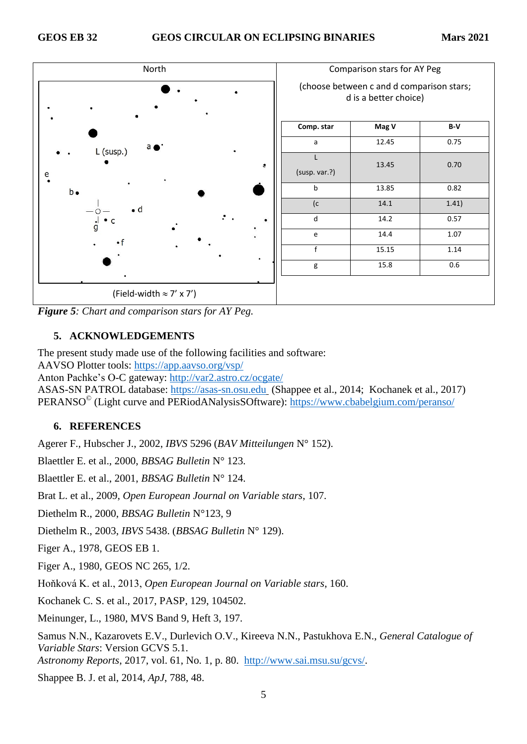

*Figure 5: Chart and comparison stars for AY Peg.*

# **5. ACKNOWLEDGEMENTS**

The present study made use of the following facilities and software:

AAVSO Plotter tools:<https://app.aavso.org/vsp/>

Anton Pachke's O-C gateway:<http://var2.astro.cz/ocgate/>

ASAS-SN PATROL database: [https://asas-sn.osu.edu](https://asas-sn.osu.edu/) (Shappee et al., 2014; Kochanek et al., 2017) PERANSO<sup>©</sup> (Light curve and PERiodANalysisSOftware):<https://www.cbabelgium.com/peranso/>

# **6. REFERENCES**

Agerer F., Hubscher J., 2002, *IBVS* 5296 (*BAV Mitteilungen* N° 152).

Blaettler E. et al., 2000, *BBSAG Bulletin* N° 123.

Blaettler E. et al., 2001, *BBSAG Bulletin* N° 124.

Brat L. et al., 2009, *Open European Journal on Variable stars*, 107.

Diethelm R., 2000, *BBSAG Bulletin* N°123, 9

Diethelm R., 2003, *IBVS* 5438. (*BBSAG Bulletin* N° 129).

Figer A., 1978, GEOS EB 1.

Figer A., 1980, GEOS NC 265, 1/2.

Hoňková K. et al., 2013, *Open European Journal on Variable stars*, 160.

Kochanek C. S. et al., 2017, PASP, 129, 104502.

Meinunger, L., 1980, MVS Band 9, Heft 3, 197.

Samus N.N., Kazarovets E.V., Durlevich O.V., Kireeva N.N., Pastukhova E.N., *General Catalogue of Variable Stars*: Version GCVS 5.1.

*Astronomy Reports*, 2017, vol. 61, No. 1, p. 80. [http://www.sai.msu.su/gcvs/.](http://www.sai.msu.su/gcvs/)

Shappee B. J. et al, 2014, *ApJ*, 788, 48.